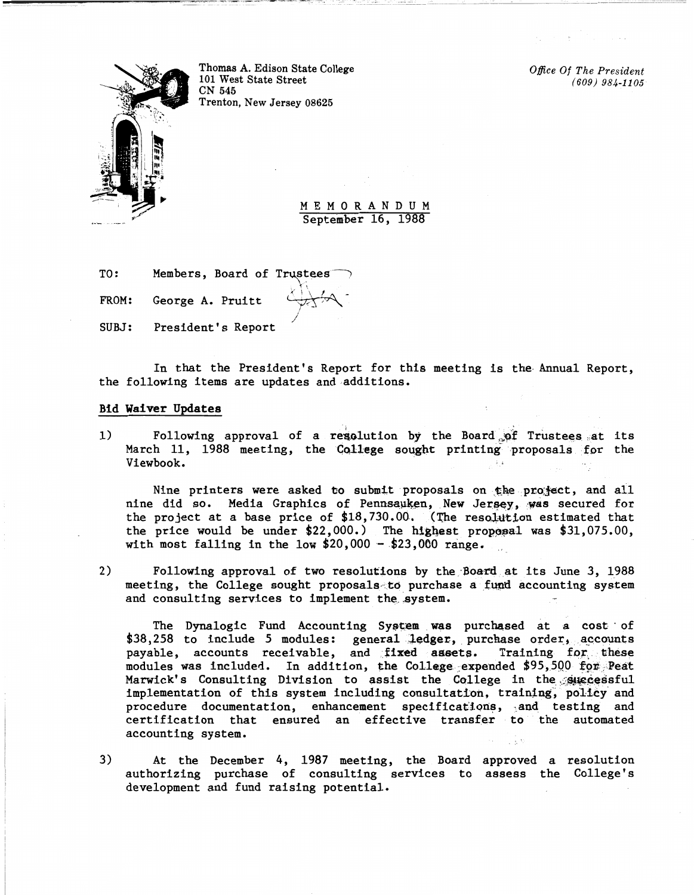

Thomas A. Edison State College *Office Of The President Office Of The President* **101 West State Street** *(609)* 984-1105 101 West State Street CN 545 Trenton, New Jersey 08625

MEMORANDUM September 16, 1988

TO: Members, Board of Trustees  $\cdot$  ' $\cdot$  ' FROM: George A. Pruitt SUBJ: President's Report

In that the President's Report for this meeting is the Annual Report, the following items are updates and additions.

#### Bid Waiver Updates

1) Following approval of a regolution by the Board of Trustees at its March 11, 1988 meeting, the College sought printing proposals for the Viewbook.

Nine printers were asked to submit proposals on the project, and all nine did so. Media Graphics of Pennsauken, New Jersey, was secured for the project at a base price of  $$18,730.00.$  (The resolution estimated that the price would be under  $$22,000$ .) The highest proposal was  $$31,075.00$ , with most falling in the low  $$20,000 - $23,000$  range.

2) Following approval of two resolutions by the,'Board at its June 3, 1988 meeting, the College sought proposals to purchase a fund accounting system and consulting services to implement the system.

The Dynalogic Fund Accounting System was purchased at a cost of \$38,258 to include 5 modules: general ledger, purchase order, accounts payable, accounts receivable, and fixed assets. Training for these payable, accounts receivable, and fixed assets. modules was included. In addition, the College expended \$95,500 for Peat Marwick's Consulting Division to assist the College in the successful implementation of this system including consultation, training, policy and procedure documentation, enhancement specifications, and testing and certification that ensured an effective transfer to the automated accounting system.

3) At the December 4, 1987 meeting, the Board approved a resolution authorizing purchase of consulting services to assess the College's development and fund raising potential.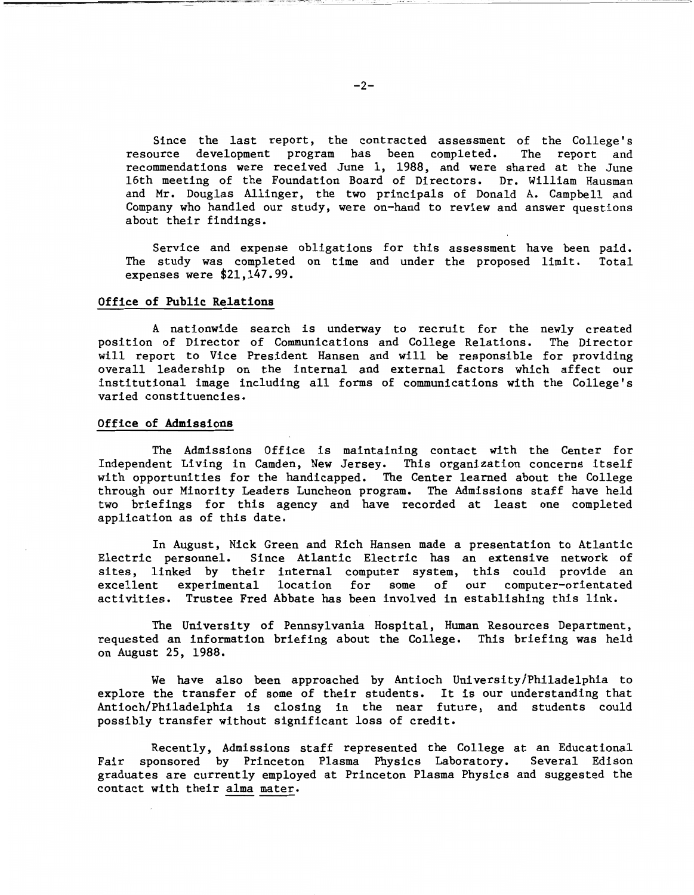Since the last report, the contracted assessment of the College's resource development program has been completed. The report and recommendations were received June 1, 1988, and were shared at the June 16th meeting of the Foundation Board of Directors. Dr. William Hausman and Mr. Douglas Allinger, the two principals of Donald A. Campbell and Company who handled our study, were on-hand to review and answer questions about their findings.

Service and expense obligations for this assessment have been paid. The study was completed on time and under the proposed limit. expenses were \$21,147.99. Total

### Office of Public Relations

~---~ ......--~

A nationwide search is underway to recruit for the newly created position of Director of Communications and College Relations. The Director will report to Vice President Hansen and will be responsible for providing overall leadership on the internal and external factors which affect our institutional image including all forms of communications with the College's varied constituencies.

## Office of Admissions

The Admissions Office is maintaining contact with the Center for Independent Living in Camden, New Jersey. This organization concerns itself with opportunities for the handicapped. The Center learned about the College through our Minority Leaders Luncheon program. The Admissions staff have held two briefings for this agency and have recorded at least one completed application as of this date.

In August, Nick Green and Rich Hansen made a presentation to Atlantic Electric personnel. Since Atlantic Electric has an extensive network of sites, linked by their internal computer system, this could provide an excellent experimental location for some of our computer-orientated activities. Trustee Fred Abbate has been involved in establishing this link.

The University of Pennsylvania Hospital, Human Resources Department, requested an information briefing about the College. This briefing was held on August 25, 1988.

We have also been approached by Antioch University/Philadelphia to explore the transfer of some of their students. It is our understanding that Antioch/Philadelphia is closing in the near future, and students could possibly transfer without significant loss of credit.

Recently, Admissions staff represented the College at an Educational<br>bonsored by Princeton Plasma Physics Laboratory. Several Edison Fair sponsored by Princeton Plasma Physics Laboratory. graduates are currently employed at Princeton Plasma Physics and suggested the contact with their alma mater.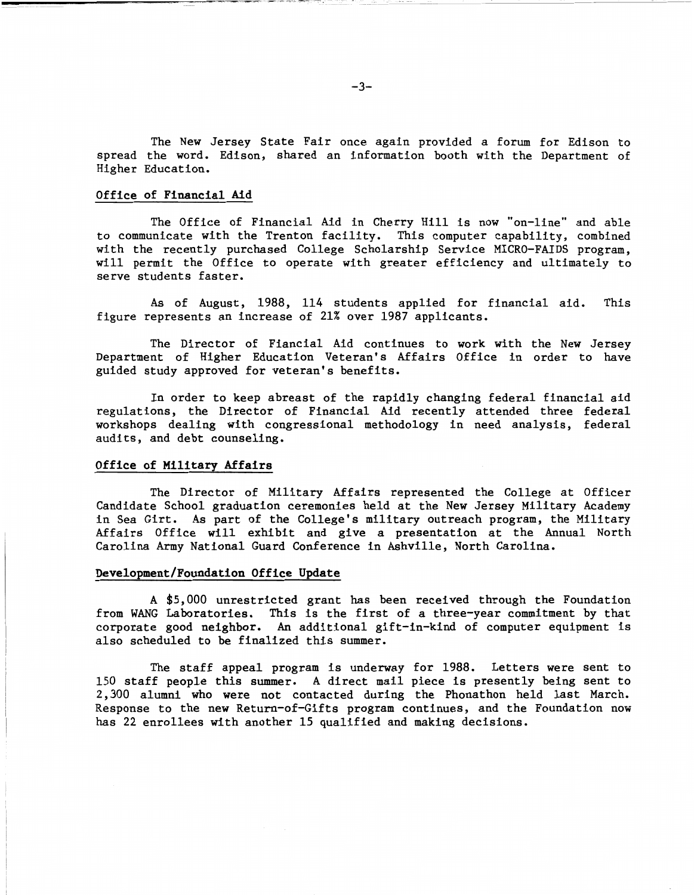The New Jersey State Fair once again provided a forum for Edison to spread the word. Edison, shared an information booth with the Department of Higher Education.

### Office of Financial Aid

--------~---~~~~~~

The Office of Financial Aid in Cherry Hill is now "on-line" and able to communicate with the Trenton facility. This computer capability, combined with the recently purchased College Scholarship Service MICRO-FAIDS program, will permit the Office to operate with greater efficiency and ultimately to serve students faster.

As of August, 1988, 114 students applied for financial aid. This figure represents an increase of 21% over 1987 applicants.

The Director of Fiancial Aid continues to work with the New Jersey Department of Higher Education Veteran's Affairs Office in order to have guided study approved for veteran's benefits.

In order to keep abreast of the rapidly changing federal financial aid regulations, the Director of Financial Aid recently attended three federal workshops dealing with congressional methodology in need analysis, federal audits, and debt counseling.

# Office of Military Affairs

The Director of Military Affairs represented the College at Officer Candidate School graduation ceremonies held at the New Jersey Military Academy in Sea Girt. As part of the College's military outreach program, the Military Affairs Office will exhibit and give a presentation at the Annual North Carolina Army National Guard Conference in Ashville, North Carolina.

### Development/Foundation Office Update

A \$5, 000 unrestricted grant has been received through the Foundation from WANG Laboratories. This is the first of a three-year commitment by that corporate good neighbor. An additional gift-in-kind of computer equipment is also scheduled to be finalized this summer.

The staff appeal program is underway for 1988. Letters were sent to 150 staff people this summer. A direct mail piece is presently being sent to 2,300 alumni who were not contacted during the Phonathon held last March. Response to the new Return-of-Gifts program continues, and the Foundation now has 22 enrollees with another 15 qualified and making decisions.